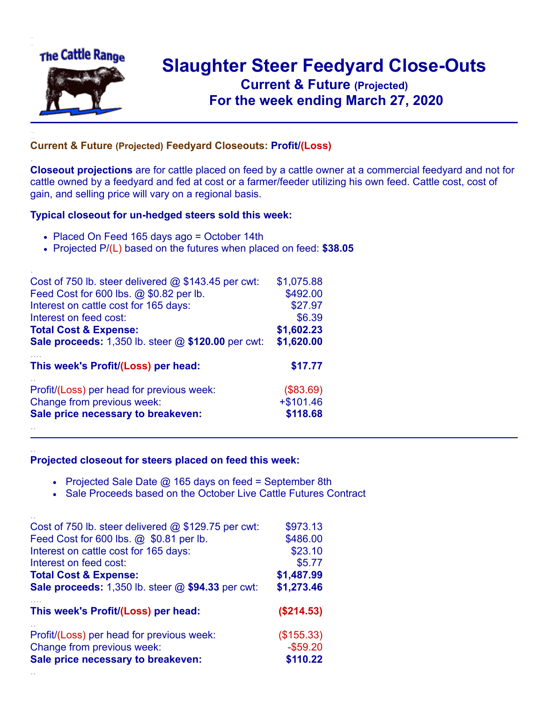

.

..

## **Slaughter Steer Feedyard Close-Outs Current & Future (Projected)** .**For the week ending March 27, 2020**

## **Current & Future (Projected) Feedyard Closeouts: Profit/(Loss)**

**Closeout projections** are for cattle placed on feed by a cattle owner at a commercial feedyard and not for cattle owned by a feedyard and fed at cost or a farmer/feeder utilizing his own feed. Cattle cost, cost of gain, and selling price will vary on a regional basis.

## **Typical closeout for un-hedged steers sold this week:**

- Placed On Feed 165 days ago = October 14th
- Projected P/(L) based on the futures when placed on feed: **\$38.05**

| Cost of 750 lb. steer delivered $@$ \$143.45 per cwt: | \$1,075.88 |
|-------------------------------------------------------|------------|
| Feed Cost for 600 lbs. @ \$0.82 per lb.               | \$492.00   |
| Interest on cattle cost for 165 days:                 | \$27.97    |
| Interest on feed cost:                                | \$6.39     |
| <b>Total Cost &amp; Expense:</b>                      | \$1,602.23 |
| Sale proceeds: 1,350 lb. steer @ \$120.00 per cwt:    | \$1,620.00 |
|                                                       |            |
| This week's Profit/(Loss) per head:                   | \$17.77    |
| Profit/(Loss) per head for previous week:             | (\$83.69)  |
| Change from previous week:                            | $+$101.46$ |
| Sale price necessary to breakeven:                    | \$118.68   |

## **Projected closeout for steers placed on feed this week:**

- Projected Sale Date  $@$  165 days on feed = September 8th
- Sale Proceeds based on the October Live Cattle Futures Contract

| Cost of 750 lb. steer delivered $@$ \$129.75 per cwt: | \$973.13    |
|-------------------------------------------------------|-------------|
| Feed Cost for 600 lbs. @ \$0.81 per lb.               | \$486.00    |
| Interest on cattle cost for 165 days:                 | \$23.10     |
| Interest on feed cost:                                | \$5.77      |
| <b>Total Cost &amp; Expense:</b>                      | \$1,487.99  |
| Sale proceeds: 1,350 lb. steer @ \$94.33 per cwt:     | \$1,273.46  |
| This week's Profit/(Loss) per head:                   | (\$214.53)  |
| Profit/(Loss) per head for previous week:             | (\$155.33)  |
| Change from previous week:                            | $-$ \$59.20 |
| Sale price necessary to breakeven:                    | \$110.22    |
|                                                       |             |